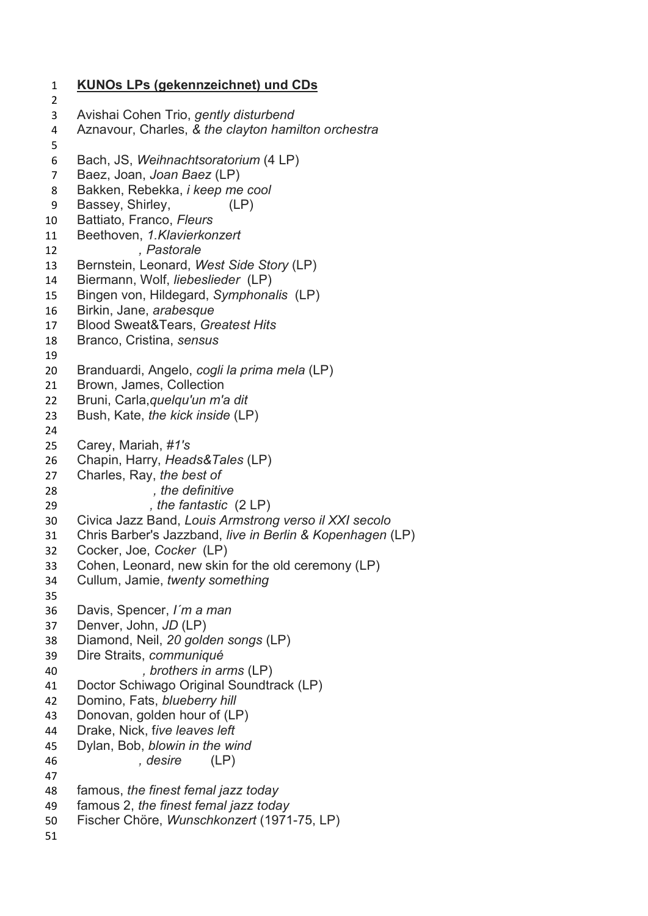KUNOs LPs (gekennzeichnet) und CDs Avishai Cohen Trio, gently disturbend Aznavour, Charles, & the clayton hamilton orchestra Bach, JS, Weihnachtsoratorium (4 LP) Baez, Joan, Joan Baez (LP) Bakken, Rebekka, i keep me cool Bassey, Shirley, (LP) Battiato, Franco, Fleurs Beethoven, 1.Klavierkonzert 12 Pastorale 13 Bernstein, Leonard, West Side Story (LP) Biermann, Wolf, liebeslieder (LP) 15 Bingen von, Hildegard, Symphonalis (LP) Birkin, Jane, arabesque 17 Blood Sweat&Tears, Greatest Hits Branco, Cristina, sensus Branduardi, Angelo, cogli la prima mela (LP) Brown, James, Collection Bruni, Carla,quelqu'un m'a dit Bush, Kate, the kick inside (LP) Carey, Mariah, #1's Chapin, Harry, Heads&Tales (LP) Charles, Ray, the best of 28 and the definitive 29 , the fantastic (2 LP) Civica Jazz Band, Louis Armstrong verso il XXI secolo Chris Barber's Jazzband, live in Berlin & Kopenhagen (LP) Cocker, Joe, Cocker (LP) Cohen, Leonard, new skin for the old ceremony (LP) Cullum, Jamie, twenty something Davis, Spencer, I´m a man Denver, John, JD (LP) Diamond, Neil, 20 golden songs (LP) Dire Straits, communiqué , brothers in arms (LP) Doctor Schiwago Original Soundtrack (LP) 42 Domino, Fats, blueberry hill Donovan, golden hour of (LP) 44 Drake, Nick, five leaves left Dylan, Bob, blowin in the wind 46 , desire (LP) 48 famous, the finest femal jazz today 49 famous 2, the finest femal jazz today Fischer Chöre, Wunschkonzert (1971-75, LP)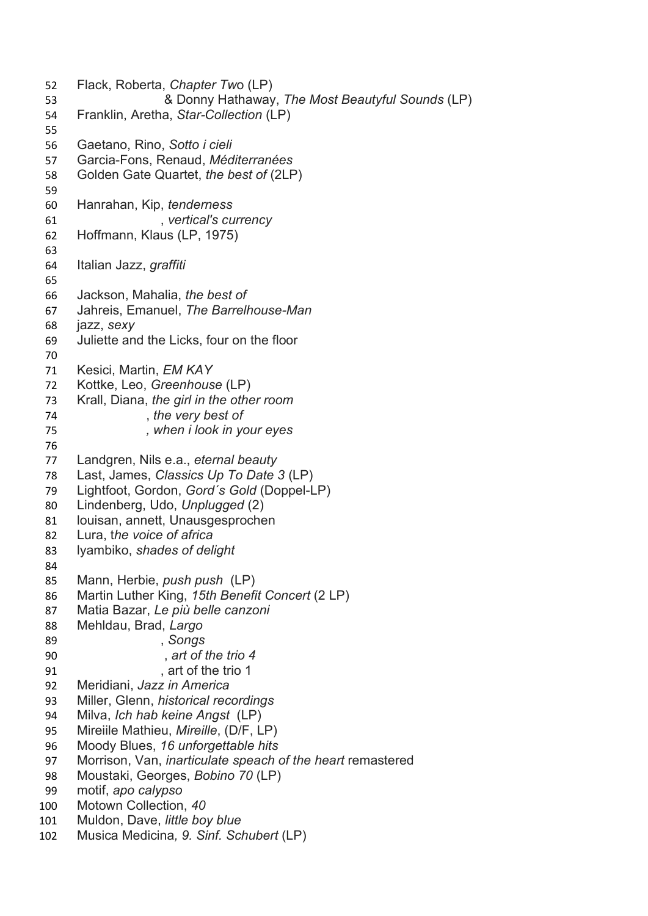Flack, Roberta, Chapter Two (LP) & Donny Hathaway, The Most Beautyful Sounds (LP) Franklin, Aretha, Star-Collection (LP) Gaetano, Rino, Sotto i cieli 57 Garcia-Fons, Renaud, Méditerranées Golden Gate Quartet, the best of (2LP) Hanrahan, Kip, tenderness 61 , vertical's currency Hoffmann, Klaus (LP, 1975) Italian Jazz, graffiti Jackson, Mahalia, the best of Jahreis, Emanuel, The Barrelhouse-Man jazz, sexy Juliette and the Licks, four on the floor 71 Kesici, Martin, EM KAY Kottke, Leo, Greenhouse (LP) Krall, Diana, the girl in the other room 74 the very best of , when i look in your eyes 77 Landgren, Nils e.a., eternal beauty Last, James, Classics Up To Date 3 (LP) Lightfoot, Gordon, Gord´s Gold (Doppel-LP) Lindenberg, Udo, Unplugged (2) louisan, annett, Unausgesprochen Lura, the voice of africa 83 lyambiko, shades of delight 85 Mann, Herbie, *push push* (LP) 86 Martin Luther King, 15th Benefit Concert (2 LP) 87 Matia Bazar, Le più belle canzoni 88 Mehldau, Brad, Largo 89 , Songs 90 art of the trio 4 91 art of the trio 1 Meridiani, Jazz in America Miller, Glenn, historical recordings Milva, Ich hab keine Angst (LP) Mireiile Mathieu, Mireille, (D/F, LP) 96 Moody Blues, 16 unforgettable hits 97 Morrison, Van, *inarticulate speach of the heart* remastered Moustaki, Georges, Bobino 70 (LP) motif, apo calypso Motown Collection, 40 Muldon, Dave, little boy blue Musica Medicina, 9. Sinf. Schubert (LP)